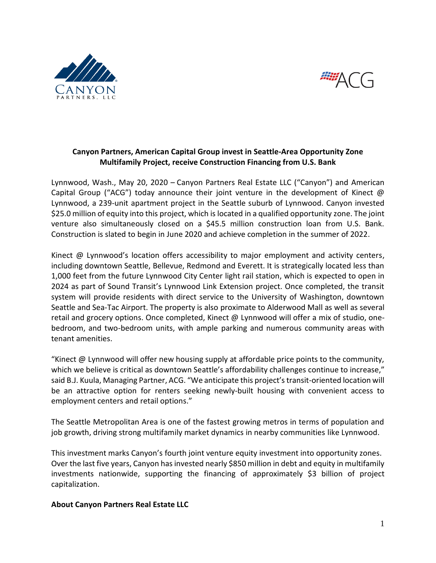



## **Canyon Partners, American Capital Group invest in Seattle-Area Opportunity Zone Multifamily Project, receive Construction Financing from U.S. Bank**

Lynnwood, Wash., May 20, 2020 – Canyon Partners Real Estate LLC ("Canyon") and American Capital Group ("ACG") today announce their joint venture in the development of Kinect @ Lynnwood, a 239-unit apartment project in the Seattle suburb of Lynnwood. Canyon invested \$25.0 million of equity into this project, which is located in a qualified opportunity zone. The joint venture also simultaneously closed on a \$45.5 million construction loan from U.S. Bank. Construction is slated to begin in June 2020 and achieve completion in the summer of 2022.

Kinect @ Lynnwood's location offers accessibility to major employment and activity centers, including downtown Seattle, Bellevue, Redmond and Everett. It is strategically located less than 1,000 feet from the future Lynnwood City Center light rail station, which is expected to open in 2024 as part of Sound Transit's Lynnwood Link Extension project. Once completed, the transit system will provide residents with direct service to the University of Washington, downtown Seattle and Sea-Tac Airport. The property is also proximate to Alderwood Mall as well as several retail and grocery options. Once completed, Kinect @ Lynnwood will offer a mix of studio, onebedroom, and two-bedroom units, with ample parking and numerous community areas with tenant amenities.

"Kinect @ Lynnwood will offer new housing supply at affordable price points to the community, which we believe is critical as downtown Seattle's affordability challenges continue to increase," said B.J. Kuula, Managing Partner, ACG. "We anticipate this project's transit-oriented location will be an attractive option for renters seeking newly-built housing with convenient access to employment centers and retail options."

The Seattle Metropolitan Area is one of the fastest growing metros in terms of population and job growth, driving strong multifamily market dynamics in nearby communities like Lynnwood.

This investment marks Canyon's fourth joint venture equity investment into opportunity zones. Over the last five years, Canyon has invested nearly \$850 million in debt and equity in multifamily investments nationwide, supporting the financing of approximately \$3 billion of project capitalization.

## **About Canyon Partners Real Estate LLC**